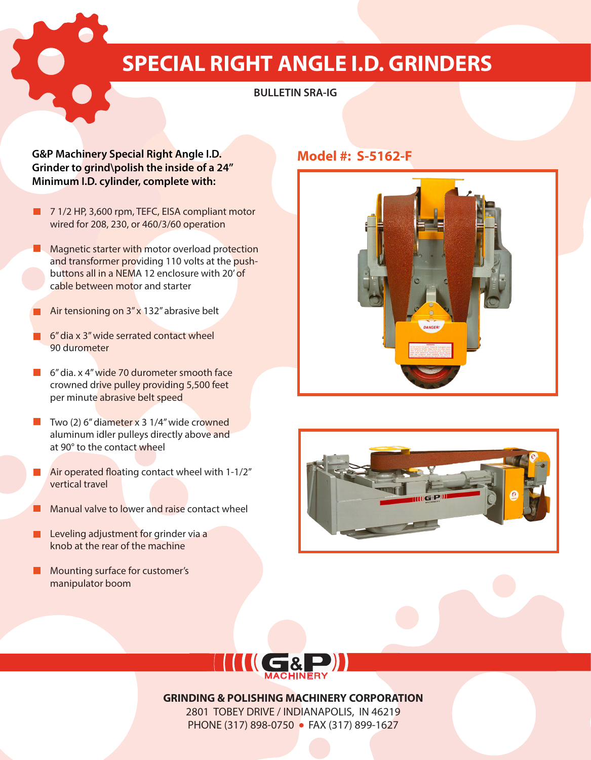# **SPECIAL RIGHT ANGLE I.D. GRINDERS**

### **BULLETIN SRA-IG**

### **G&P Machinery Special Right Angle I.D. Model #: S-5162-F Grinder to grind\polish the inside of a 24'' Minimum I.D. cylinder, complete with:**

- **7 1/2 HP, 3,600 rpm, TEFC, EISA compliant motor** wired for 208, 230, or 460/3/60 operation
- **Magnetic starter with motor overload protection** and transformer providing 110 volts at the pushbuttons all in a NEMA 12 enclosure with 20' of cable between motor and starter
- Air tensioning on  $3''$  x 132" abrasive belt
- **6** 6" dia x 3" wide serrated contact wheel 90 durometer
- 6<sup>"</sup> dia. x 4<sup>"</sup> wide 70 durometer smooth face crowned drive pulley providing 5,500 feet per minute abrasive belt speed
- $\blacksquare$  Two (2) 6" diameter x 3 1/4" wide crowned aluminum idler pulleys directly above and at 90° to the contact wheel
- **Air operated floating contact wheel with 1-1/2"** vertical travel
- Manual valve to lower and raise contact wheel
- Leveling adjustment for grinder via a **The Second** knob at the rear of the machine
- **Mounting surface for customer's** manipulator boom







**GRINDING & POLISHING MACHINERY CORPORATION** 2801 TOBEY DRIVE / INDIANAPOLIS, IN 46219

PHONE (317) 898-0750 • FAX (317) 899-1627